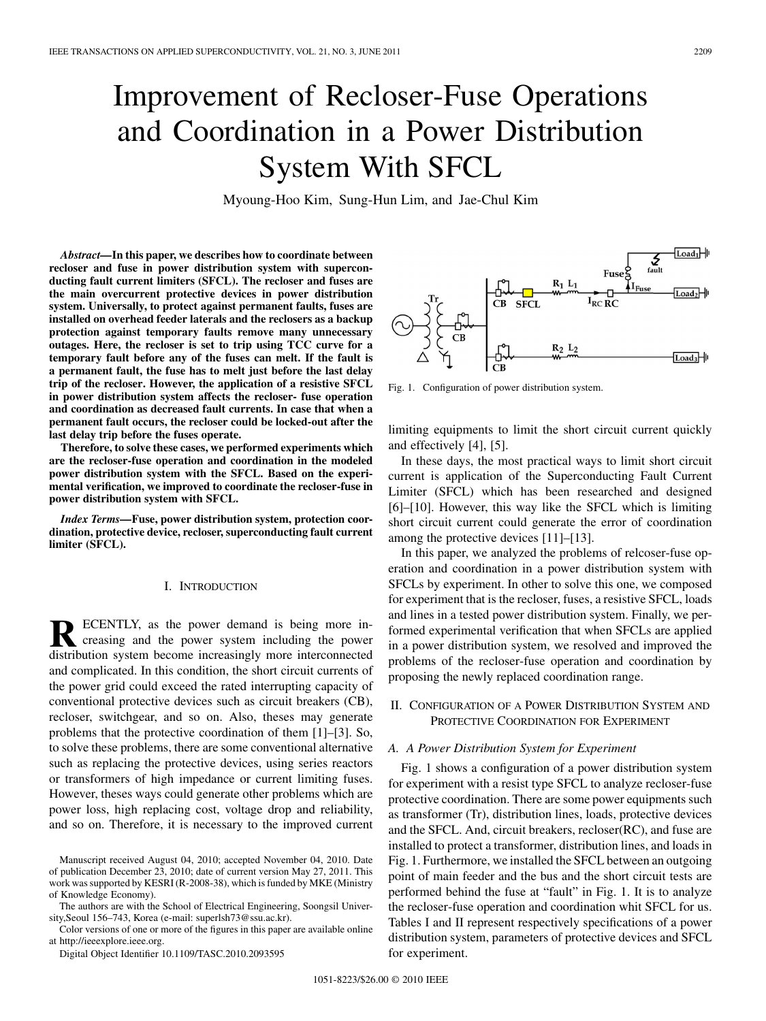# Improvement of Recloser-Fuse Operations and Coordination in a Power Distribution System With SFCL

Myoung-Hoo Kim, Sung-Hun Lim, and Jae-Chul Kim

*Abstract—***In this paper, we describes how to coordinate between recloser and fuse in power distribution system with superconducting fault current limiters (SFCL). The recloser and fuses are the main overcurrent protective devices in power distribution system. Universally, to protect against permanent faults, fuses are installed on overhead feeder laterals and the reclosers as a backup protection against temporary faults remove many unnecessary outages. Here, the recloser is set to trip using TCC curve for a temporary fault before any of the fuses can melt. If the fault is a permanent fault, the fuse has to melt just before the last delay trip of the recloser. However, the application of a resistive SFCL in power distribution system affects the recloser- fuse operation and coordination as decreased fault currents. In case that when a permanent fault occurs, the recloser could be locked-out after the last delay trip before the fuses operate.**

**Therefore, to solve these cases, we performed experiments which are the recloser-fuse operation and coordination in the modeled power distribution system with the SFCL. Based on the experimental verification, we improved to coordinate the recloser-fuse in power distribution system with SFCL.**

*Index Terms—***Fuse, power distribution system, protection coordination, protective device, recloser, superconducting fault current limiter (SFCL).**

#### I. INTRODUCTION

ECENTLY, as the power demand is being more increasing and the power system including the power distribution system become increasingly more interconnected and complicated. In this condition, the short circuit currents of the power grid could exceed the rated interrupting capacity of conventional protective devices such as circuit breakers (CB), recloser, switchgear, and so on. Also, theses may generate problems that the protective coordination of them [1]–[3]. So, to solve these problems, there are some conventional alternative such as replacing the protective devices, using series reactors or transformers of high impedance or current limiting fuses. However, theses ways could generate other problems which are power loss, high replacing cost, voltage drop and reliability, and so on. Therefore, it is necessary to the improved current



Fig. 1. Configuration of power distribution system.

limiting equipments to limit the short circuit current quickly and effectively [4], [5].

In these days, the most practical ways to limit short circuit current is application of the Superconducting Fault Current Limiter (SFCL) which has been researched and designed [6]–[10]. However, this way like the SFCL which is limiting short circuit current could generate the error of coordination among the protective devices [11]–[13].

In this paper, we analyzed the problems of relcoser-fuse operation and coordination in a power distribution system with SFCLs by experiment. In other to solve this one, we composed for experiment that is the recloser, fuses, a resistive SFCL, loads and lines in a tested power distribution system. Finally, we performed experimental verification that when SFCLs are applied in a power distribution system, we resolved and improved the problems of the recloser-fuse operation and coordination by proposing the newly replaced coordination range.

### II. CONFIGURATION OF A POWER DISTRIBUTION SYSTEM AND PROTECTIVE COORDINATION FOR EXPERIMENT

#### *A. A Power Distribution System for Experiment*

Fig. 1 shows a configuration of a power distribution system for experiment with a resist type SFCL to analyze recloser-fuse protective coordination. There are some power equipments such as transformer (Tr), distribution lines, loads, protective devices and the SFCL. And, circuit breakers, recloser(RC), and fuse are installed to protect a transformer, distribution lines, and loads in Fig. 1. Furthermore, we installed the SFCL between an outgoing point of main feeder and the bus and the short circuit tests are performed behind the fuse at "fault" in Fig. 1. It is to analyze the recloser-fuse operation and coordination whit SFCL for us. Tables I and II represent respectively specifications of a power distribution system, parameters of protective devices and SFCL for experiment.

Manuscript received August 04, 2010; accepted November 04, 2010. Date of publication December 23, 2010; date of current version May 27, 2011. This work was supported by KESRI (R-2008-38), which is funded by MKE (Ministry of Knowledge Economy).

The authors are with the School of Electrical Engineering, Soongsil University,Seoul 156–743, Korea (e-mail: superlsh73@ssu.ac.kr).

Color versions of one or more of the figures in this paper are available online at http://ieeexplore.ieee.org.

Digital Object Identifier 10.1109/TASC.2010.2093595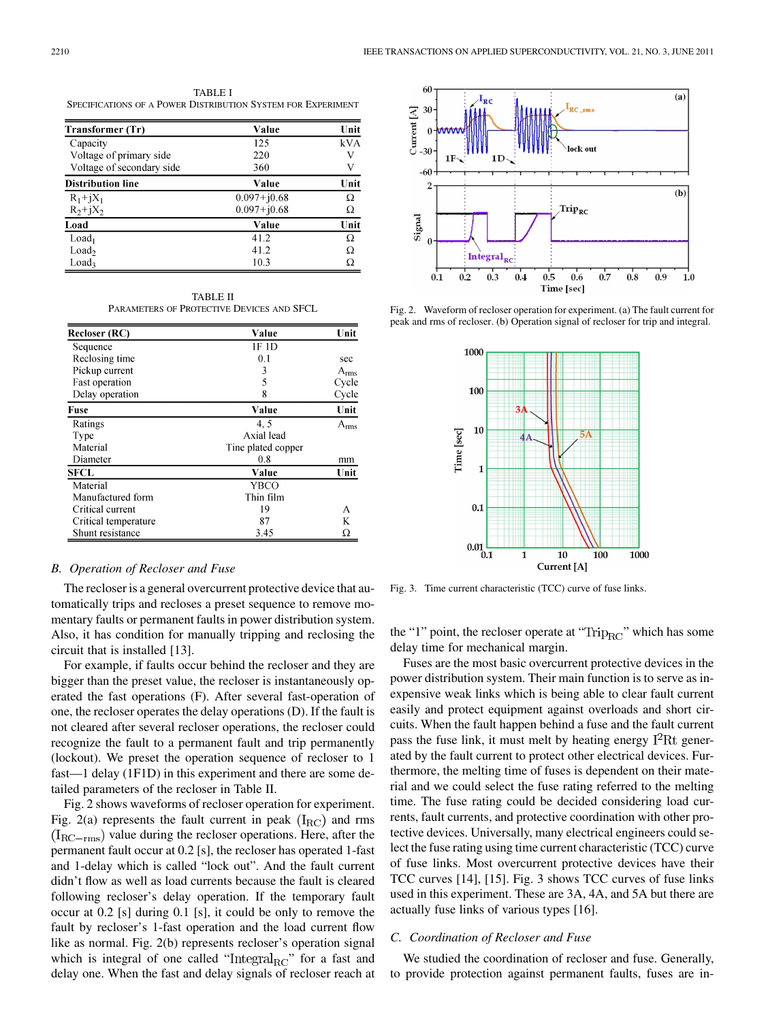TABLE I SPECIFICATIONS OF A POWER DISTRIBUTION SYSTEM FOR EXPERIMENT

| Transformer (Tr)          | Value           | Unit |
|---------------------------|-----------------|------|
| Capacity                  | 125             | kVA  |
| Voltage of primary side   | 220             | V    |
| Voltage of secondary side | 360             | V    |
| <b>Distribution line</b>  | Value           | Unit |
| $R_1 + jX_1$              | $0.097 + j0.68$ | Ω    |
| $R_2 + jX_2$              | $0.097 + j0.68$ | Ω    |
| Load                      | Value           | Unit |
| Load <sub>1</sub>         | 41.2            | Ω    |
| Load <sub>2</sub>         | 41.2            | Ω    |
| Load <sub>3</sub>         | 10.3            | Ω    |

TABLE II PARAMETERS OF PROTECTIVE DEVICES AND SFCL

| <b>Recloser (RC)</b> | Value              | Unit      |
|----------------------|--------------------|-----------|
| Sequence             | 1F 1D              |           |
| Reclosing time       | 0.1                | sec       |
| Pickup current       | 3                  | $A_{rms}$ |
| Fast operation       | 5                  | Cycle     |
| Delay operation      | 8                  | Cycle     |
| Fuse                 | Value              | Unit      |
| Ratings              | 4.5                | $A_{rms}$ |
| Type                 | Axial lead         |           |
| Material             | Tine plated copper |           |
| Diameter             | 0.8                | mm        |
| <b>SFCL</b>          | Value              | Unit      |
| Material             | YBCO               |           |
| Manufactured form    | Thin film          |           |
| Critical current     | 19                 | А         |
| Critical temperature | 87                 | K         |
| Shunt resistance     | 3.45               | Ω         |

#### *B. Operation of Recloser and Fuse*

The recloser is a general overcurrent protective device that automatically trips and recloses a preset sequence to remove momentary faults or permanent faults in power distribution system. Also, it has condition for manually tripping and reclosing the circuit that is installed [13].

For example, if faults occur behind the recloser and they are bigger than the preset value, the recloser is instantaneously operated the fast operations (F). After several fast-operation of one, the recloser operates the delay operations (D). If the fault is not cleared after several recloser operations, the recloser could recognize the fault to a permanent fault and trip permanently (lockout). We preset the operation sequence of recloser to 1 fast—1 delay (1F1D) in this experiment and there are some detailed parameters of the recloser in Table II.

Fig. 2 shows waveforms of recloser operation for experiment. Fig. 2(a) represents the fault current in peak  $(I_{\rm RC})$  and rms  $(I_{\text{RC-rms}})$  value during the recloser operations. Here, after the permanent fault occur at 0.2 [s], the recloser has operated 1-fast and 1-delay which is called "lock out". And the fault current didn't flow as well as load currents because the fault is cleared following recloser's delay operation. If the temporary fault occur at 0.2 [s] during 0.1 [s], it could be only to remove the fault by recloser's 1-fast operation and the load current flow like as normal. Fig. 2(b) represents recloser's operation signal which is integral of one called " $\text{Integral}_{\text{RC}}$ " for a fast and delay one. When the fast and delay signals of recloser reach at



Fig. 2. Waveform of recloser operation for experiment. (a) The fault current for peak and rms of recloser. (b) Operation signal of recloser for trip and integral.



Fig. 3. Time current characteristic (TCC) curve of fuse links.

the "1" point, the recloser operate at " $Trip_{RC}$ " which has some delay time for mechanical margin.

Fuses are the most basic overcurrent protective devices in the power distribution system. Their main function is to serve as inexpensive weak links which is being able to clear fault current easily and protect equipment against overloads and short circuits. When the fault happen behind a fuse and the fault current pass the fuse link, it must melt by heating energy  $I^2Rt$  generated by the fault current to protect other electrical devices. Furthermore, the melting time of fuses is dependent on their material and we could select the fuse rating referred to the melting time. The fuse rating could be decided considering load currents, fault currents, and protective coordination with other protective devices. Universally, many electrical engineers could select the fuse rating using time current characteristic (TCC) curve of fuse links. Most overcurrent protective devices have their TCC curves [14], [15]. Fig. 3 shows TCC curves of fuse links used in this experiment. These are 3A, 4A, and 5A but there are actually fuse links of various types [16].

#### *C. Coordination of Recloser and Fuse*

We studied the coordination of recloser and fuse. Generally, to provide protection against permanent faults, fuses are in-